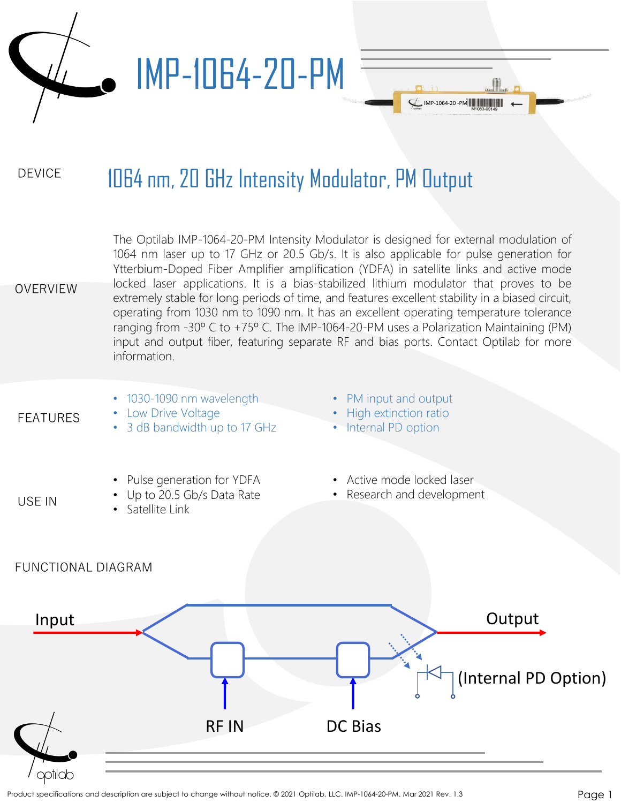

## DEVICE 1064 nm, 20 GHz Intensity Modulator, PM Output

OVERVIEW The Optilab IMP-1064-20-PM Intensity Modulator is designed for external modulation of 1064 nm laser up to 17 GHz or 20.5 Gb/s. It is also applicable for pulse generation for Ytterbium-Doped Fiber Amplifier amplification (YDFA) in satellite links and active mode locked laser applications. It is a bias-stabilized lithium modulator that proves to be extremely stable for long periods of time, and features excellent stability in a biased circuit, operating from 1030 nm to 1090 nm. It has an excellent operating temperature tolerance ranging from -30º C to +75º C. The IMP-1064-20-PM uses a Polarization Maintaining (PM) input and output fiber, featuring separate RF and bias ports. Contact Optilab for more information.

FEATURES

USE IN

- 1030-1090 nm wavelength • Low Drive Voltage
	- 3 dB bandwidth up to 17 GHz
- PM input and output

IMP-1064-20 -PM

- High extinction ratio
- Internal PD option
- Pulse generation for YDFA
- Up to 20.5 Gb/s Data Rate
- Satellite Link
- Active mode locked laser
- Research and development

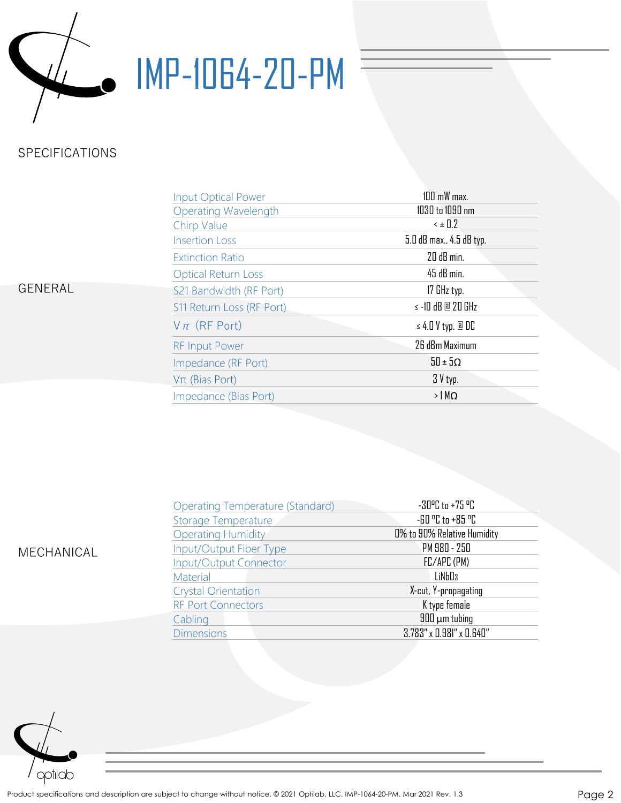

## WE-1064-20-PM

## SPECIFICATIONS

| GENERAL |  |
|---------|--|
|---------|--|

| <b>Input Optical Power</b>  | $100$ mW max.            |
|-----------------------------|--------------------------|
| <b>Operating Wavelength</b> | 1030 to 1090 nm          |
| Chirp Value                 | $\leq$ ± 0.2             |
| <b>Insertion Loss</b>       | 5.0 dB max., 4.5 dB typ. |
| <b>Extinction Ratio</b>     | 20 dB min.               |
| <b>Optical Return Loss</b>  | 45 dB min.               |
| S21 Bandwidth (RF Port)     | 17 GHz typ.              |
| S11 Return Loss (RF Port)   | $\le$ -10 dB @ 20 GHz    |
| $V\pi$ (RF Port)            | $\leq 4.0$ V typ. @ DC   |
| <b>RF Input Power</b>       | 26 dBm Maximum           |
| Impedance (RF Port)         | $50 \pm 50$              |
| $V\pi$ (Bias Port)          | $3V$ typ.                |
| Impedance (Bias Port)       | $>1$ M $\Omega$          |

| MECHANICAL |
|------------|
|            |

| <b>Operating Temperature (Standard)</b> | $-30^{\circ}$ C to $+75^{\circ}$ C |
|-----------------------------------------|------------------------------------|
| <b>Storage Temperature</b>              | -60 °C to +85 °C                   |
| <b>Operating Humidity</b>               | 0% to 90% Relative Humidity        |
| Input/Output Fiber Type                 | PM 980 - 250                       |
| <b>Input/Output Connector</b>           | FC/APC (PM)                        |
| Material                                | LiNb <sub>D3</sub>                 |
| <b>Crystal Orientation</b>              | X-cut, Y-propagating               |
| <b>RF Port Connectors</b>               | K type female                      |
| Cabling                                 | $900 \mu m$ tubing                 |
| <b>Dimensions</b>                       | $3.783''$ x $0.981''$ x $0.640''$  |
|                                         |                                    |

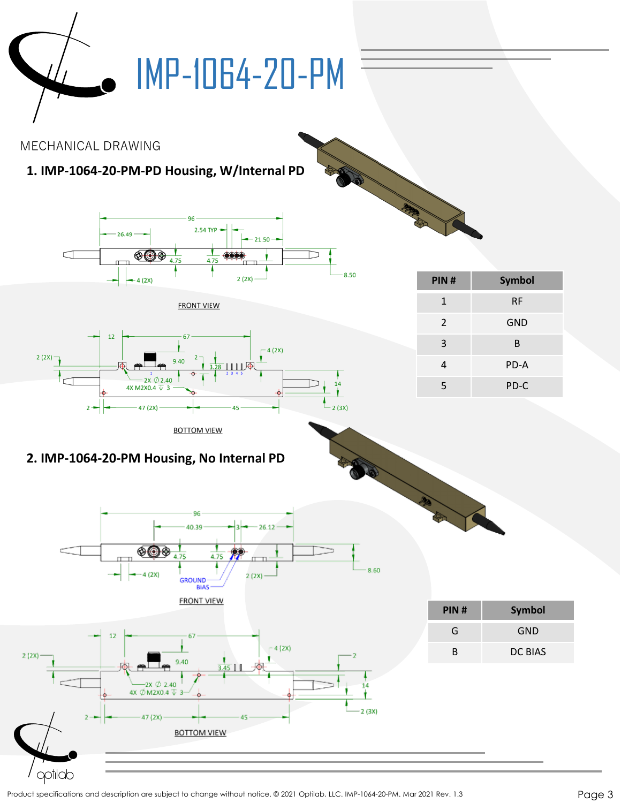